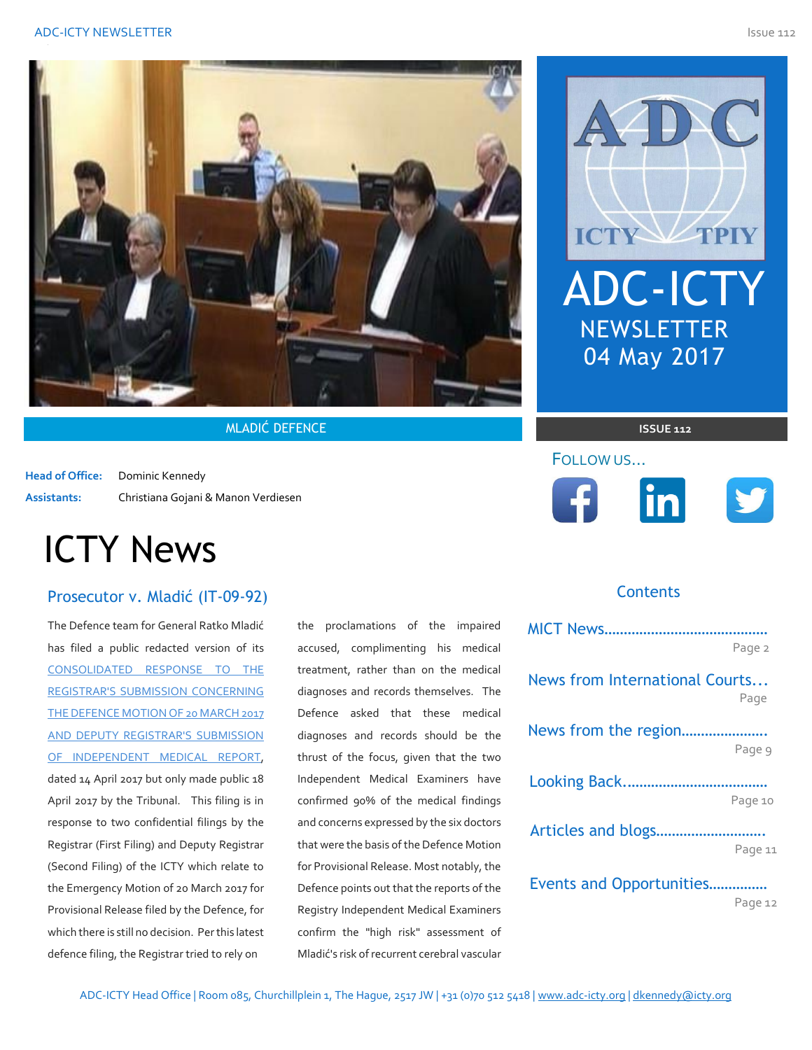

**MLADIĆ DEFENCE ISSUE 112** 

**Head of Office:** Dominic Kennedy **Assistants:** Christiana Gojani & Manon Verdiesen

# ICTY News

# Prosecutor v. Mladić (IT-09-92) **ICTY-Representing Counsel And Representing Counsel And Representing Counternational Counternational Tribunal Former Yugoslavia and Andrew Yugoslavia and Andrew Yugoslavia and Andrew Yugosla**

The Defence team for General Ratko Mladić has filed a public redacted version of its [CONSOLIDATED RESPONSE TO THE](http://icr.icty.org/LegalRef/CMSDocStore/Public/English/Response/NotIndexable/IT-09-92/MRA25154R0000512879.pdf)  [REGISTRAR'S SUBMISSION CONCERNING](http://icr.icty.org/LegalRef/CMSDocStore/Public/English/Response/NotIndexable/IT-09-92/MRA25154R0000512879.pdf)  [THE DEFENCE MOTION OF 20 MARCH 2017](http://icr.icty.org/LegalRef/CMSDocStore/Public/English/Response/NotIndexable/IT-09-92/MRA25154R0000512879.pdf)  [AND DEPUTY REGISTRAR'S SUBMISSION](http://icr.icty.org/LegalRef/CMSDocStore/Public/English/Response/NotIndexable/IT-09-92/MRA25154R0000512879.pdf)  [OF INDEPENDENT MEDICAL REPORT,](http://icr.icty.org/LegalRef/CMSDocStore/Public/English/Response/NotIndexable/IT-09-92/MRA25154R0000512879.pdf) dated 14 April 2017 but only made public 18 April 2017 by the Tribunal. This filing is in response to two confidential filings by the Registrar (First Filing) and Deputy Registrar (Second Filing) of the ICTY which relate to the Emergency Motion of 20 March 2017 for Provisional Release filed by the Defence, for which there is still no decision. Per this latest defence filing, the Registrar tried to rely on

the proclamations of the impaired accused, complimenting his medical treatment, rather than on the medical diagnoses and records themselves. The Defence asked that these medical diagnoses and records should be the thrust of the focus, given that the two Independent Medical Examiners have confirmed 90% of the medical findings and concerns expressed by the six doctors that were the basis of the Defence Motion for Provisional Release. Most notably, the Defence points out that the reports of the Registry Independent Medical Examiners confirm the "high risk" assessment of Mladić's risk of recurrent cerebral vascular



# FOLLOW US…





#### *The views expressed herein are those of the author(s) alone and do not necessarily reflect the views of the Association of Defence Counsel Practicing Before the*  **Contents**

|                                | Page 2  |
|--------------------------------|---------|
| News from International Courts | Page    |
| News from the region           |         |
|                                | Page 9  |
|                                |         |
|                                | Page 10 |
| Articles and blogs             |         |
|                                | Page 11 |
| Events and Opportunities       |         |

Page 12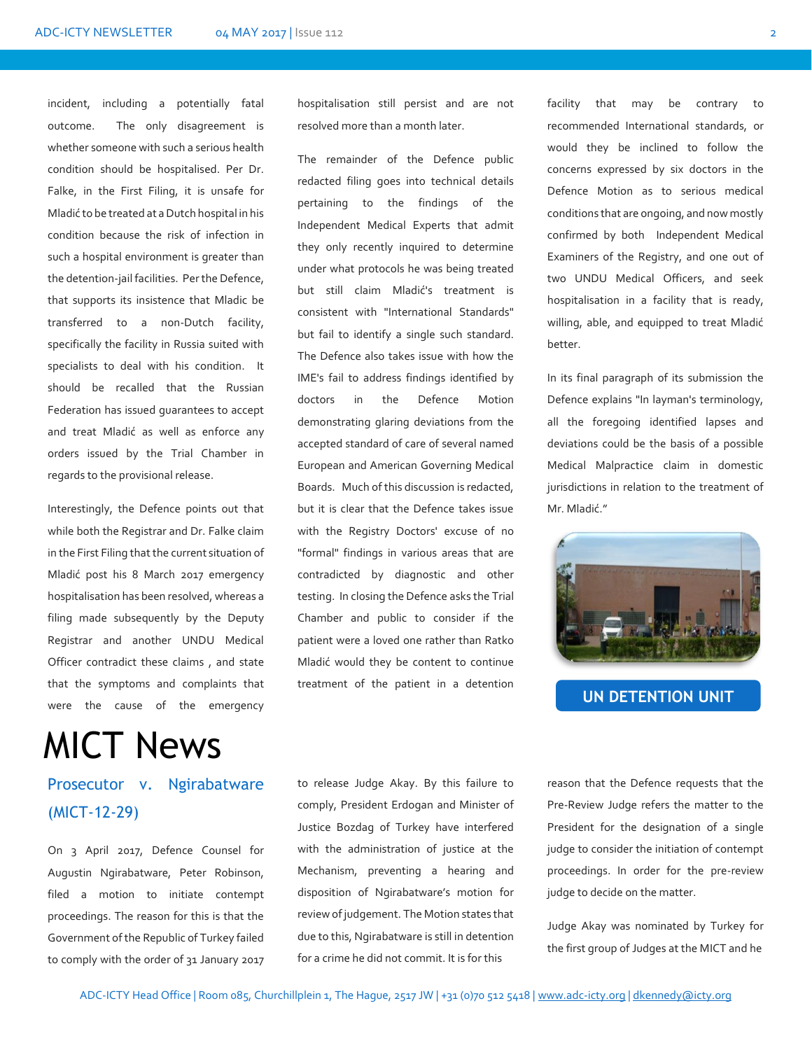incident, including a potentially fatal outcome. The only disagreement is whether someone with such a serious health condition should be hospitalised. Per Dr. Falke, in the First Filing, it is unsafe for Mladić to be treated at a Dutch hospital in his condition because the risk of infection in such a hospital environment is greater than the detention-jail facilities. Per the Defence, that supports its insistence that Mladic be transferred to a non-Dutch facility, specifically the facility in Russia suited with specialists to deal with his condition. It should be recalled that the Russian Federation has issued guarantees to accept and treat Mladić as well as enforce any orders issued by the Trial Chamber in regards to the provisional release.

Interestingly, the Defence points out that while both the Registrar and Dr. Falke claim in the First Filing that the current situation of Mladić post his 8 March 2017 emergency hospitalisation has been resolved, whereas a filing made subsequently by the Deputy Registrar and another UNDU Medical Officer contradict these claims , and state that the symptoms and complaints that were the cause of the emergency

# MICT News

# Prosecutor v. Ngirabatware (MICT-12-29)

On 3 April 2017, Defence Counsel for Augustin Ngirabatware, Peter Robinson, filed a motion to initiate contempt proceedings. The reason for this is that the Government of the Republic of Turkey failed to comply with the order of 31 January 2017 hospitalisation still persist and are not resolved more than a month later.

The remainder of the Defence public redacted filing goes into technical details pertaining to the findings of the Independent Medical Experts that admit they only recently inquired to determine under what protocols he was being treated but still claim Mladić's treatment is consistent with "International Standards" but fail to identify a single such standard. The Defence also takes issue with how the IME's fail to address findings identified by doctors in the Defence Motion demonstrating glaring deviations from the accepted standard of care of several named European and American Governing Medical Boards. Much of this discussion is redacted, but it is clear that the Defence takes issue with the Registry Doctors' excuse of no "formal" findings in various areas that are contradicted by diagnostic and other testing. In closing the Defence asks the Trial Chamber and public to consider if the patient were a loved one rather than Ratko Mladić would they be content to continue treatment of the patient in a detention

facility that may be contrary to recommended International standards, or would they be inclined to follow the concerns expressed by six doctors in the Defence Motion as to serious medical conditions that are ongoing, and now mostly confirmed by both Independent Medical Examiners of the Registry, and one out of two UNDU Medical Officers, and seek hospitalisation in a facility that is ready, willing, able, and equipped to treat Mladić better.

In its final paragraph of its submission the Defence explains "In layman's terminology, all the foregoing identified lapses and deviations could be the basis of a possible Medical Malpractice claim in domestic jurisdictions in relation to the treatment of Mr. Mladić."



**UN DETENTION UNIT**

to release Judge Akay. By this failure to comply, President Erdogan and Minister of Justice Bozdag of Turkey have interfered with the administration of justice at the Mechanism, preventing a hearing and disposition of Ngirabatware's motion for review of judgement. The Motion states that due to this, Ngirabatware is still in detention for a crime he did not commit. It is for this

reason that the Defence requests that the Pre-Review Judge refers the matter to the President for the designation of a single judge to consider the initiation of contempt proceedings. In order for the pre-review judge to decide on the matter.

Judge Akay was nominated by Turkey for the first group of Judges at the MICT and he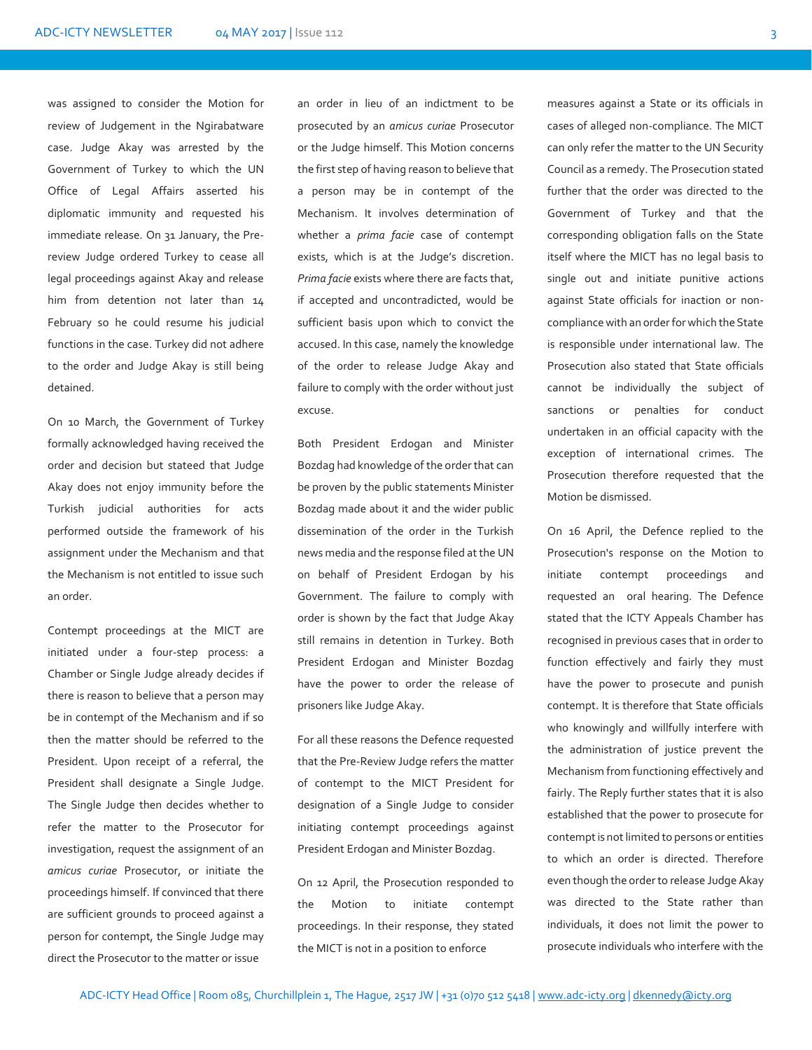was assigned to consider the Motion for review of Judgement in the Ngirabatware case. Judge Akay was arrested by the Government of Turkey to which the UN Office of Legal Affairs asserted his diplomatic immunity and requested his immediate release. On 31 January, the Prereview Judge ordered Turkey to cease all legal proceedings against Akay and release him from detention not later than 14 February so he could resume his judicial functions in the case. Turkey did not adhere to the order and Judge Akay is still being detained.

On 10 March, the Government of Turkey formally acknowledged having received the order and decision but stateed that Judge Akay does not enjoy immunity before the Turkish judicial authorities for acts performed outside the framework of his assignment under the Mechanism and that the Mechanism is not entitled to issue such an order.

Contempt proceedings at the MICT are initiated under a four-step process: a Chamber or Single Judge already decides if there is reason to believe that a person may be in contempt of the Mechanism and if so then the matter should be referred to the President. Upon receipt of a referral, the President shall designate a Single Judge. The Single Judge then decides whether to refer the matter to the Prosecutor for investigation, request the assignment of an *amicus curiae* Prosecutor, or initiate the proceedings himself. If convinced that there are sufficient grounds to proceed against a person for contempt, the Single Judge may direct the Prosecutor to the matter or issue

an order in lieu of an indictment to be prosecuted by an *amicus curiae* Prosecutor or the Judge himself. This Motion concerns the first step of having reason to believe that a person may be in contempt of the Mechanism. It involves determination of whether a *prima facie* case of contempt exists, which is at the Judge's discretion. *Prima facie* exists where there are facts that, if accepted and uncontradicted, would be sufficient basis upon which to convict the accused. In this case, namely the knowledge of the order to release Judge Akay and failure to comply with the order without just excuse.

Both President Erdogan and Minister Bozdag had knowledge of the order that can be proven by the public statements Minister Bozdag made about it and the wider public dissemination of the order in the Turkish news media and the response filed at the UN on behalf of President Erdogan by his Government. The failure to comply with order is shown by the fact that Judge Akay still remains in detention in Turkey. Both President Erdogan and Minister Bozdag have the power to order the release of prisoners like Judge Akay.

For all these reasons the Defence requested that the Pre-Review Judge refers the matter of contempt to the MICT President for designation of a Single Judge to consider initiating contempt proceedings against President Erdogan and Minister Bozdag.

On 12 April, the Prosecution responded to the Motion to initiate contempt proceedings. In their response, they stated the MICT is not in a position to enforce

measures against a State or its officials in cases of alleged non-compliance. The MICT can only refer the matter to the UN Security Council as a remedy. The Prosecution stated further that the order was directed to the Government of Turkey and that the corresponding obligation falls on the State itself where the MICT has no legal basis to single out and initiate punitive actions against State officials for inaction or noncompliance with an order for which the State is responsible under international law. The Prosecution also stated that State officials cannot be individually the subject of sanctions or penalties for conduct undertaken in an official capacity with the exception of international crimes. The Prosecution therefore requested that the Motion be dismissed.

On 16 April, the Defence replied to the Prosecution's response on the Motion to initiate contempt proceedings and requested an oral hearing. The Defence stated that the ICTY Appeals Chamber has recognised in previous cases that in order to function effectively and fairly they must have the power to prosecute and punish contempt. It is therefore that State officials who knowingly and willfully interfere with the administration of justice prevent the Mechanism from functioning effectively and fairly. The Reply further states that it is also established that the power to prosecute for contempt is not limited to persons or entities to which an order is directed. Therefore even though the order to release Judge Akay was directed to the State rather than individuals, it does not limit the power to prosecute individuals who interfere with the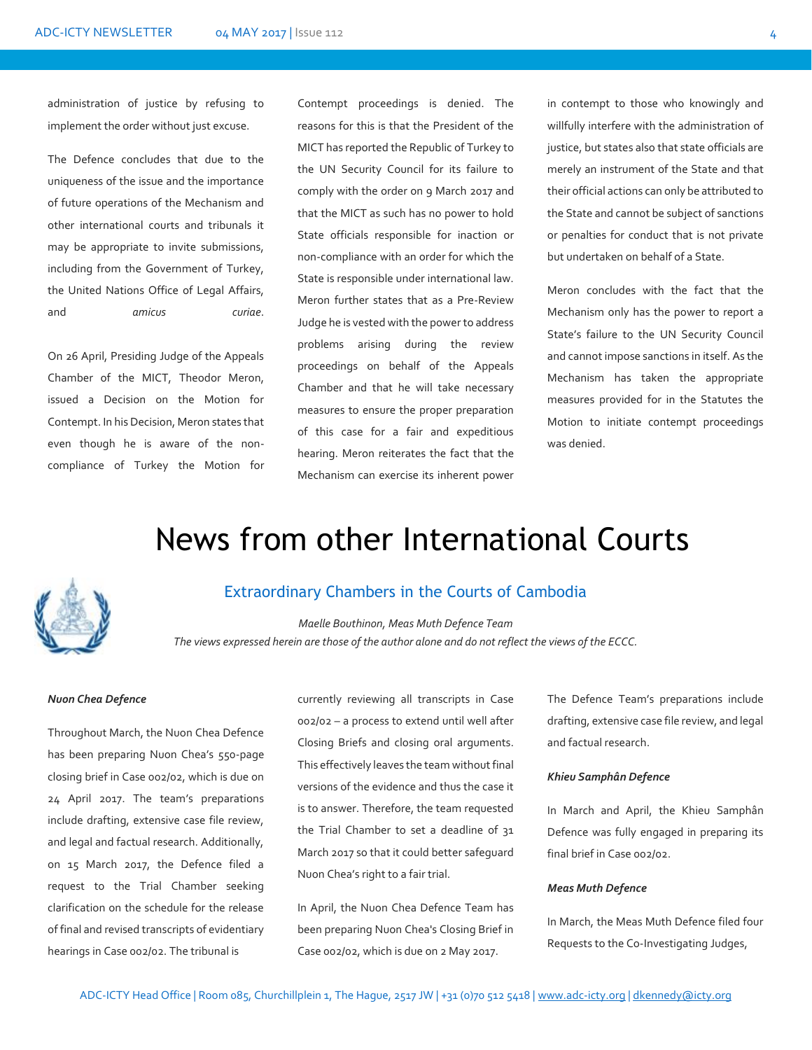administration of justice by refusing to implement the order without just excuse.

The Defence concludes that due to the uniqueness of the issue and the importance of future operations of the Mechanism and other international courts and tribunals it may be appropriate to invite submissions, including from the Government of Turkey, the United Nations Office of Legal Affairs, and *amicus curiae*.

On 26 April, Presiding Judge of the Appeals Chamber of the MICT, Theodor Meron, issued a Decision on the Motion for Contempt. In his Decision, Meron states that even though he is aware of the noncompliance of Turkey the Motion for

Contempt proceedings is denied. The reasons for this is that the President of the MICT has reported the Republic of Turkey to the UN Security Council for its failure to comply with the order on 9 March 2017 and that the MICT as such has no power to hold State officials responsible for inaction or non-compliance with an order for which the State is responsible under international law. Meron further states that as a Pre-Review Judge he is vested with the power to address problems arising during the review proceedings on behalf of the Appeals Chamber and that he will take necessary measures to ensure the proper preparation of this case for a fair and expeditious hearing. Meron reiterates the fact that the Mechanism can exercise its inherent power

in contempt to those who knowingly and willfully interfere with the administration of justice, but states also that state officials are merely an instrument of the State and that their official actions can only be attributed to the State and cannot be subject of sanctions or penalties for conduct that is not private but undertaken on behalf of a State.

Meron concludes with the fact that the Mechanism only has the power to report a State's failure to the UN Security Council and cannot impose sanctions in itself. As the Mechanism has taken the appropriate measures provided for in the Statutes the Motion to initiate contempt proceedings was denied.

# News from other International Courts



### Extraordinary Chambers in the Courts of Cambodia

*Maelle Bouthinon, Meas Muth Defence Team The views expressed herein are those of the author alone and do not reflect the views of the ECCC.*

### *Nuon Chea Defence*

Throughout March, the Nuon Chea Defence has been preparing Nuon Chea's 550-page closing brief in Case 002/02, which is due on 24 April 2017. The team's preparations include drafting, extensive case file review, and legal and factual research. Additionally, on 15 March 2017, the Defence filed a request to the Trial Chamber seeking clarification on the schedule for the release of final and revised transcripts of evidentiary hearings in Case 002/02. The tribunal is

currently reviewing all transcripts in Case 002/02 – a process to extend until well after Closing Briefs and closing oral arguments. This effectively leaves the team without final versions of the evidence and thus the case it is to answer. Therefore, the team requested the Trial Chamber to set a deadline of 31 March 2017 so that it could better safeguard Nuon Chea's right to a fair trial.

In April, the Nuon Chea Defence Team has been preparing Nuon Chea's Closing Brief in Case 002/02, which is due on 2 May 2017.

The Defence Team's preparations include drafting, extensive case file review, and legal and factual research.

### *Khieu Samphân Defence*

In March and April, the Khieu Samphân Defence was fully engaged in preparing its final brief in Case 002/02.

### *Meas Muth Defence*

In March, the Meas Muth Defence filed four Requests to the Co-Investigating Judges,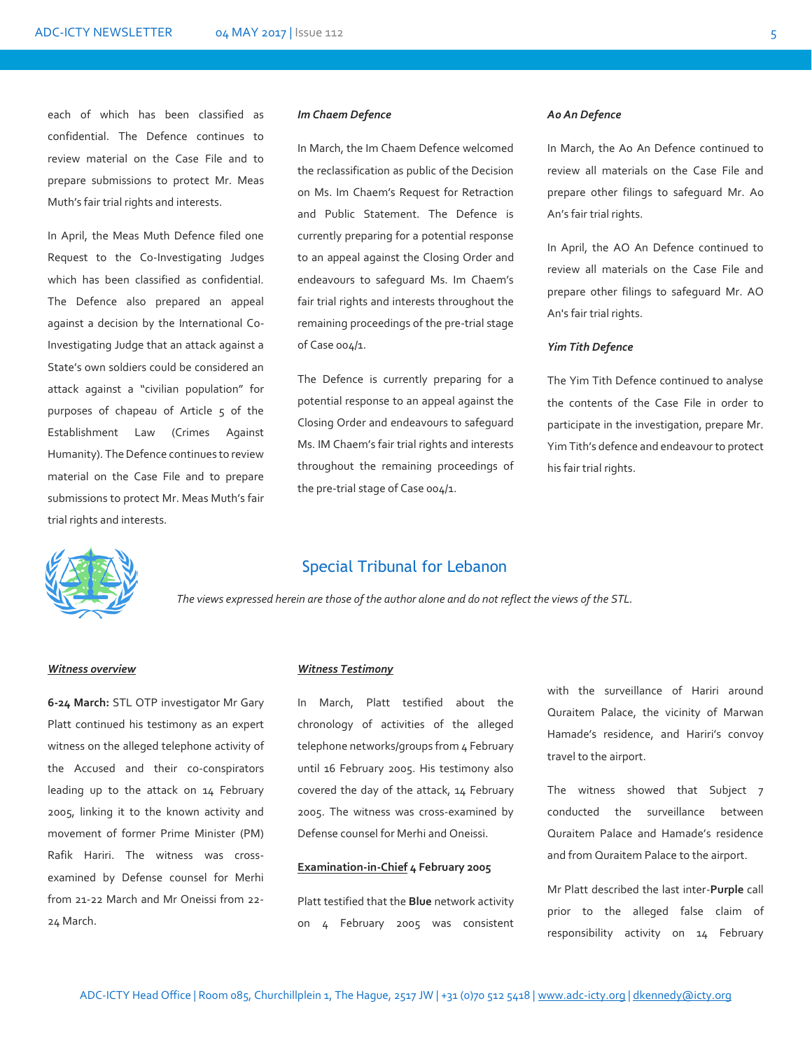each of which has been classified as confidential. The Defence continues to review material on the Case File and to prepare submissions to protect Mr. Meas Muth's fair trial rights and interests.

In April, the Meas Muth Defence filed one Request to the Co-Investigating Judges which has been classified as confidential. The Defence also prepared an appeal against a decision by the International Co-Investigating Judge that an attack against a State's own soldiers could be considered an attack against a "civilian population" for purposes of chapeau of Article 5 of the Establishment Law (Crimes Against Humanity). The Defence continues to review material on the Case File and to prepare submissions to protect Mr. Meas Muth's fair trial rights and interests.

#### *Im Chaem Defence*

In March, the Im Chaem Defence welcomed the reclassification as public of the Decision on Ms. Im Chaem's Request for Retraction and Public Statement. The Defence is currently preparing for a potential response to an appeal against the Closing Order and endeavours to safeguard Ms. Im Chaem's fair trial rights and interests throughout the remaining proceedings of the pre-trial stage of Case 004/1.

The Defence is currently preparing for a potential response to an appeal against the Closing Order and endeavours to safeguard Ms. IM Chaem's fair trial rights and interests throughout the remaining proceedings of the pre-trial stage of Case 004/1.

### *Ao An Defence*

In March, the Ao An Defence continued to review all materials on the Case File and prepare other filings to safeguard Mr. Ao An's fair trial rights.

In April, the AO An Defence continued to review all materials on the Case File and prepare other filings to safeguard Mr. AO An's fair trial rights.

### *Yim Tith Defence*

The Yim Tith Defence continued to analyse the contents of the Case File in order to participate in the investigation, prepare Mr. Yim Tith's defence and endeavour to protect his fair trial rights.



### Special Tribunal for Lebanon

*The views expressed herein are those of the author alone and do not reflect the views of the STL.*

### *Witness overview*

**6-24 March:** STL OTP investigator Mr Gary Platt continued his testimony as an expert witness on the alleged telephone activity of the Accused and their co-conspirators leading up to the attack on 14 February 2005, linking it to the known activity and movement of former Prime Minister (PM) Rafik Hariri. The witness was crossexamined by Defense counsel for Merhi from 21-22 March and Mr Oneissi from 22- 24 March.

### *Witness Testimony*

In March, Platt testified about the chronology of activities of the alleged telephone networks/groups from 4 February until 16 February 2005. His testimony also covered the day of the attack, 14 February 2005. The witness was cross-examined by Defense counsel for Merhi and Oneissi.

### **Examination-in-Chief 4 February 2005**

Platt testified that the **Blue** network activity on 4 February 2005 was consistent

with the surveillance of Hariri around Quraitem Palace, the vicinity of Marwan Hamade's residence, and Hariri's convoy travel to the airport.

The witness showed that Subject 7 conducted the surveillance between Quraitem Palace and Hamade's residence and from Quraitem Palace to the airport.

Mr Platt described the last inter-**Purple** call prior to the alleged false claim of responsibility activity on 14 February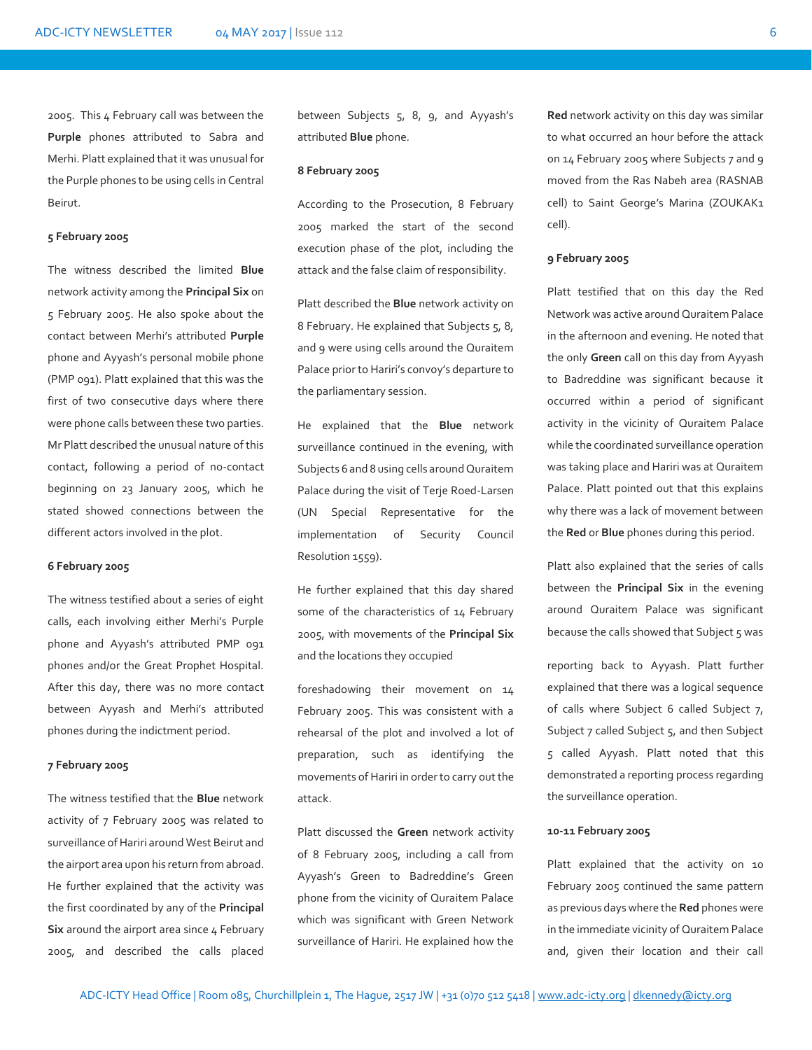2005. This 4 February call was between the **Purple** phones attributed to Sabra and Merhi. Platt explained that it was unusual for the Purple phones to be using cells in Central Beirut.

#### **5 February 2005**

The witness described the limited **Blue** network activity among the **Principal Six** on 5 February 2005. He also spoke about the contact between Merhi's attributed **Purple** phone and Ayyash's personal mobile phone (PMP 091). Platt explained that this was the first of two consecutive days where there were phone calls between these two parties. Mr Platt described the unusual nature of this contact, following a period of no-contact beginning on 23 January 2005, which he stated showed connections between the different actors involved in the plot.

### **6 February 2005**

The witness testified about a series of eight calls, each involving either Merhi's Purple phone and Ayyash's attributed PMP 091 phones and/or the Great Prophet Hospital. After this day, there was no more contact between Ayyash and Merhi's attributed phones during the indictment period.

#### **7 February 2005**

The witness testified that the **Blue** network activity of 7 February 2005 was related to surveillance of Hariri around West Beirut and the airport area upon his return from abroad. He further explained that the activity was the first coordinated by any of the **Principal Six** around the airport area since 4 February 2005, and described the calls placed

between Subjects 5, 8, 9, and Ayyash's attributed **Blue** phone.

### **8 February 2005**

According to the Prosecution, 8 February 2005 marked the start of the second execution phase of the plot, including the attack and the false claim of responsibility.

Platt described the **Blue** network activity on 8 February. He explained that Subjects 5, 8, and 9 were using cells around the Quraitem Palace prior to Hariri's convoy's departure to the parliamentary session.

He explained that the **Blue** network surveillance continued in the evening, with Subjects 6 and 8 using cells around Quraitem Palace during the visit of Terje Roed-Larsen (UN Special Representative for the implementation of Security Council Resolution 1559).

He further explained that this day shared some of the characteristics of 14 February 2005, with movements of the **Principal Six** and the locations they occupied

foreshadowing their movement on 14 February 2005. This was consistent with a rehearsal of the plot and involved a lot of preparation, such as identifying the movements of Hariri in order to carry out the attack.

Platt discussed the **Green** network activity of 8 February 2005, including a call from Ayyash's Green to Badreddine's Green phone from the vicinity of Quraitem Palace which was significant with Green Network surveillance of Hariri. He explained how the

**Red** network activity on this day was similar to what occurred an hour before the attack on 14 February 2005 where Subjects 7 and 9 moved from the Ras Nabeh area (RASNAB cell) to Saint George's Marina (ZOUKAK1 cell).

### **9 February 2005**

Platt testified that on this day the Red Network was active around Quraitem Palace in the afternoon and evening. He noted that the only **Green** call on this day from Ayyash to Badreddine was significant because it occurred within a period of significant activity in the vicinity of Quraitem Palace while the coordinated surveillance operation was taking place and Hariri was at Quraitem Palace. Platt pointed out that this explains why there was a lack of movement between the **Red** or **Blue** phones during this period.

Platt also explained that the series of calls between the **Principal Six** in the evening around Quraitem Palace was significant because the calls showed that Subject 5 was

reporting back to Ayyash. Platt further explained that there was a logical sequence of calls where Subject 6 called Subject 7, Subject 7 called Subject 5, and then Subject 5 called Ayyash. Platt noted that this demonstrated a reporting process regarding the surveillance operation.

### **10-11 February 2005**

Platt explained that the activity on 10 February 2005 continued the same pattern as previous days where the **Red** phones were in the immediate vicinity of Quraitem Palace and, given their location and their call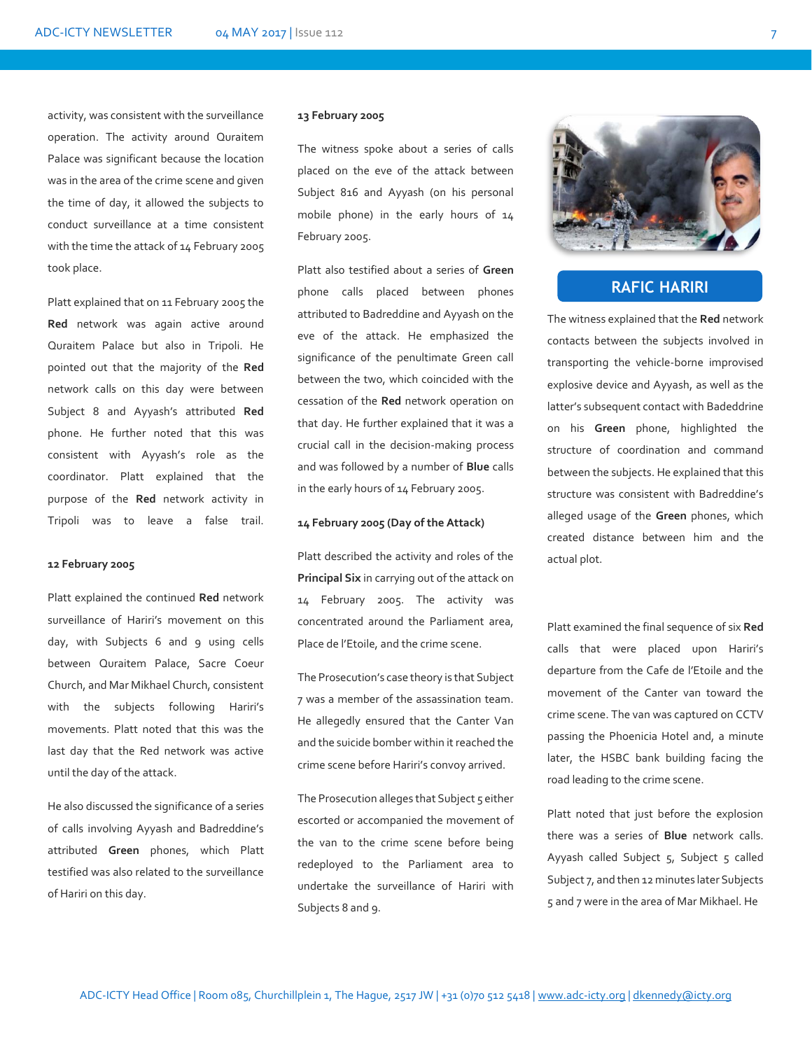activity, was consistent with the surveillance operation. The activity around Quraitem Palace was significant because the location was in the area of the crime scene and given the time of day, it allowed the subjects to conduct surveillance at a time consistent with the time the attack of 14 February 2005 took place.

Platt explained that on 11 February 2005 the **Red** network was again active around Quraitem Palace but also in Tripoli. He pointed out that the majority of the **Red** network calls on this day were between Subject 8 and Ayyash's attributed **Red** phone. He further noted that this was consistent with Ayyash's role as the coordinator. Platt explained that the purpose of the **Red** network activity in Tripoli was to leave a false trail.

### **12 February 2005**

Platt explained the continued **Red** network surveillance of Hariri's movement on this day, with Subjects 6 and 9 using cells between Quraitem Palace, Sacre Coeur Church, and Mar Mikhael Church, consistent with the subjects following Hariri's movements. Platt noted that this was the last day that the Red network was active until the day of the attack.

He also discussed the significance of a series of calls involving Ayyash and Badreddine's attributed **Green** phones, which Platt testified was also related to the surveillance of Hariri on this day.

### **13 February 2005**

The witness spoke about a series of calls placed on the eve of the attack between Subject 816 and Ayyash (on his personal mobile phone) in the early hours of 14 February 2005.

Platt also testified about a series of **Green** phone calls placed between phones attributed to Badreddine and Ayyash on the eve of the attack. He emphasized the significance of the penultimate Green call between the two, which coincided with the cessation of the **Red** network operation on that day. He further explained that it was a crucial call in the decision-making process and was followed by a number of **Blue** calls in the early hours of 14 February 2005.

### **14 February 2005 (Day of the Attack)**

Platt described the activity and roles of the **Principal Six** in carrying out of the attack on 14 February 2005. The activity was concentrated around the Parliament area, Place de l'Etoile, and the crime scene.

The Prosecution's case theory is that Subject 7 was a member of the assassination team. He allegedly ensured that the Canter Van and the suicide bomber within it reached the crime scene before Hariri's convoy arrived.

The Prosecution alleges that Subject 5 either escorted or accompanied the movement of the van to the crime scene before being redeployed to the Parliament area to undertake the surveillance of Hariri with Subjects 8 and 9.



# **RAFIC HARIRI**

The witness explained that the **Red** network contacts between the subjects involved in transporting the vehicle-borne improvised explosive device and Ayyash, as well as the latter's subsequent contact with Badeddrine on his **Green** phone, highlighted the structure of coordination and command between the subjects. He explained that this structure was consistent with Badreddine's alleged usage of the **Green** phones, which created distance between him and the actual plot.

Platt examined the final sequence of six **Red** calls that were placed upon Hariri's departure from the Cafe de l'Etoile and the movement of the Canter van toward the crime scene. The van was captured on CCTV passing the Phoenicia Hotel and, a minute later, the HSBC bank building facing the road leading to the crime scene.

Platt noted that just before the explosion there was a series of **Blue** network calls. Ayyash called Subject  $5$ , Subject  $5$  called Subject 7, and then 12 minutes later Subjects 5 and 7 were in the area of Mar Mikhael. He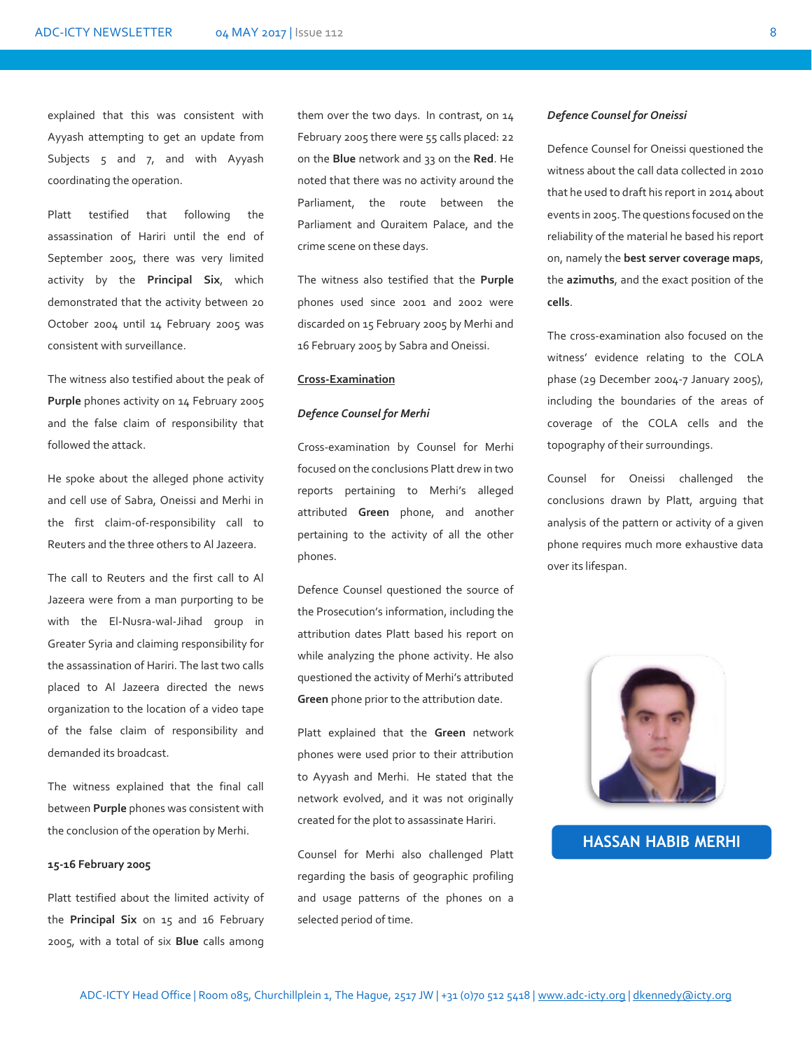explained that this was consistent with Ayyash attempting to get an update from Subjects 5 and 7, and with Ayyash coordinating the operation.

Platt testified that following the assassination of Hariri until the end of September 2005, there was very limited activity by the **Principal Six**, which demonstrated that the activity between 20 October 2004 until 14 February 2005 was consistent with surveillance.

The witness also testified about the peak of **Purple** phones activity on 14 February 2005 and the false claim of responsibility that followed the attack.

He spoke about the alleged phone activity and cell use of Sabra, Oneissi and Merhi in the first claim-of-responsibility call to Reuters and the three others to Al Jazeera.

The call to Reuters and the first call to Al Jazeera were from a man purporting to be with the El-Nusra-wal-Jihad group in Greater Syria and claiming responsibility for the assassination of Hariri. The last two calls placed to Al Jazeera directed the news organization to the location of a video tape of the false claim of responsibility and demanded its broadcast.

The witness explained that the final call between **Purple** phones was consistent with the conclusion of the operation by Merhi.

### **15-16 February 2005**

Platt testified about the limited activity of the **Principal Six** on 15 and 16 February 2005, with a total of six **Blue** calls among

them over the two days. In contrast, on 14 February 2005 there were 55 calls placed: 22 on the **Blue** network and 33 on the **Red**. He noted that there was no activity around the Parliament, the route between the Parliament and Quraitem Palace, and the crime scene on these days.

The witness also testified that the **Purple**  phones used since 2001 and 2002 were discarded on 15 February 2005 by Merhi and 16 February 2005 by Sabra and Oneissi.

### **Cross-Examination**

### *Defence Counsel for Merhi*

Cross-examination by Counsel for Merhi focused on the conclusions Platt drew in two reports pertaining to Merhi's alleged attributed **Green** phone, and another pertaining to the activity of all the other phones.

Defence Counsel questioned the source of the Prosecution's information, including the attribution dates Platt based his report on while analyzing the phone activity. He also questioned the activity of Merhi's attributed **Green** phone prior to the attribution date.

Platt explained that the **Green** network phones were used prior to their attribution to Ayyash and Merhi. He stated that the network evolved, and it was not originally created for the plot to assassinate Hariri.

Counsel for Merhi also challenged Platt regarding the basis of geographic profiling and usage patterns of the phones on a selected period of time.

### *Defence Counsel for Oneissi*

Defence Counsel for Oneissi questioned the witness about the call data collected in 2010 that he used to draft his report in 2014 about events in 2005. The questions focused on the reliability of the material he based his report on, namely the **best server coverage maps**, the **azimuths**, and the exact position of the **cells**.

The cross-examination also focused on the witness' evidence relating to the COLA phase (29 December 2004-7 January 2005), including the boundaries of the areas of coverage of the COLA cells and the topography of their surroundings.

Counsel for Oneissi challenged the conclusions drawn by Platt, arguing that analysis of the pattern or activity of a given phone requires much more exhaustive data over its lifespan.



## **HASSAN HABIB MERHI**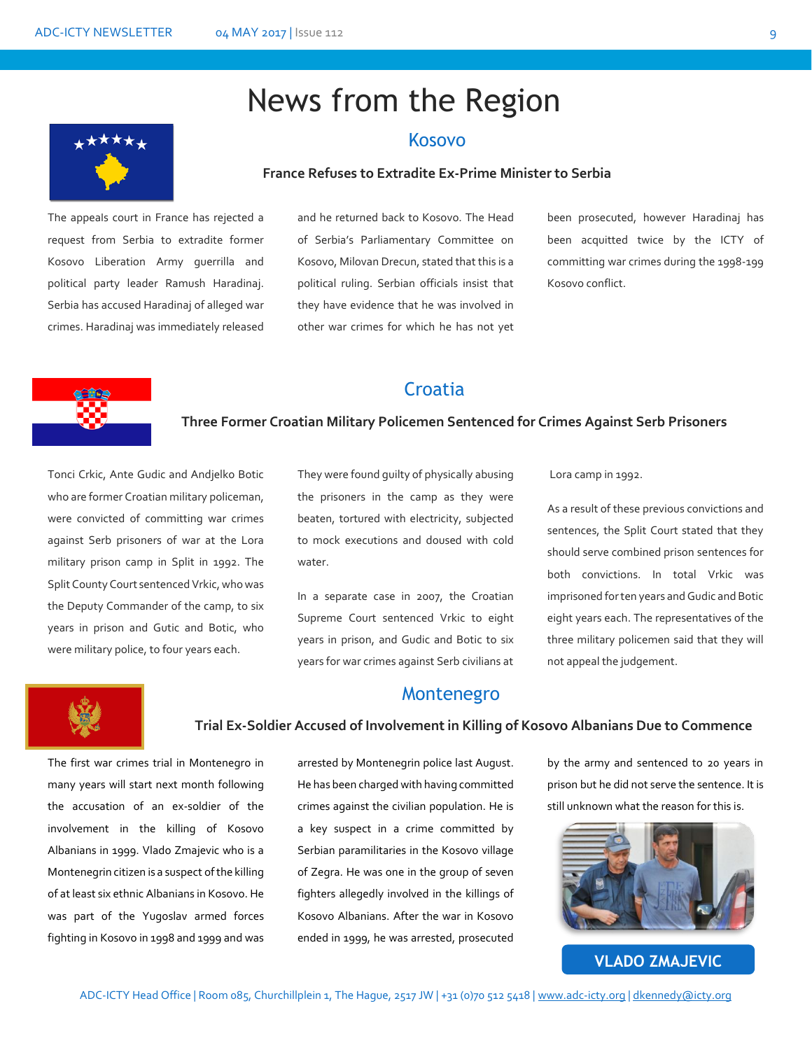# News from the Region

### Kosovo

### **France Refuses to Extradite Ex-Prime Minister to Serbia**

The appeals court in France has rejected a request from Serbia to extradite former Kosovo Liberation Army guerrilla and political party leader Ramush Haradinaj. Serbia has accused Haradinaj of alleged war crimes. Haradinaj was immediately released

and he returned back to Kosovo. The Head of Serbia's Parliamentary Committee on Kosovo, Milovan Drecun, stated that this is a political ruling. Serbian officials insist that they have evidence that he was involved in other war crimes for which he has not yet

been prosecuted, however Haradinaj has been acquitted twice by the ICTY of committing war crimes during the 1998-199 Kosovo conflict.

## **Croatia**

### **Three Former Croatian Military Policemen Sentenced for Crimes Against Serb Prisoners**

Tonci Crkic, Ante Gudic and Andjelko Botic who are former Croatian military policeman, were convicted of committing war crimes against Serb prisoners of war at the Lora military prison camp in Split in 1992. The Split County Court sentenced Vrkic, who was the Deputy Commander of the camp, to six years in prison and Gutic and Botic, who were military police, to four years each.

They were found guilty of physically abusing the prisoners in the camp as they were beaten, tortured with electricity, subjected to mock executions and doused with cold water.

In a separate case in 2007, the Croatian Supreme Court sentenced Vrkic to eight years in prison, and Gudic and Botic to six years for war crimes against Serb civilians at Lora camp in 1992.

As a result of these previous convictions and sentences, the Split Court stated that they should serve combined prison sentences for both convictions. In total Vrkic was imprisoned for ten years and Gudic and Botic eight years each. The representatives of the three military policemen said that they will not appeal the judgement.



### Montenegro

### **Trial Ex-Soldier Accused of Involvement in Killing of Kosovo Albanians Due to Commence**

The first war crimes trial in Montenegro in many years will start next month following the accusation of an ex-soldier of the involvement in the killing of Kosovo Albanians in 1999. Vlado Zmajevic who is a Montenegrin citizen is a suspect ofthe killing of at least six ethnic Albanians in Kosovo. He was part of the Yugoslav armed forces fighting in Kosovo in 1998 and 1999 and was

arrested by Montenegrin police last August. He has been charged with having committed crimes against the civilian population. He is a key suspect in a crime committed by Serbian paramilitaries in the Kosovo village of Zegra. He was one in the group of seven fighters allegedly involved in the killings of Kosovo Albanians. After the war in Kosovo ended in 1999, he was arrested, prosecuted

by the army and sentenced to 20 years in prison but he did not serve the sentence. It is still unknown what the reason for this is.



**VLADO ZMAJEVIC**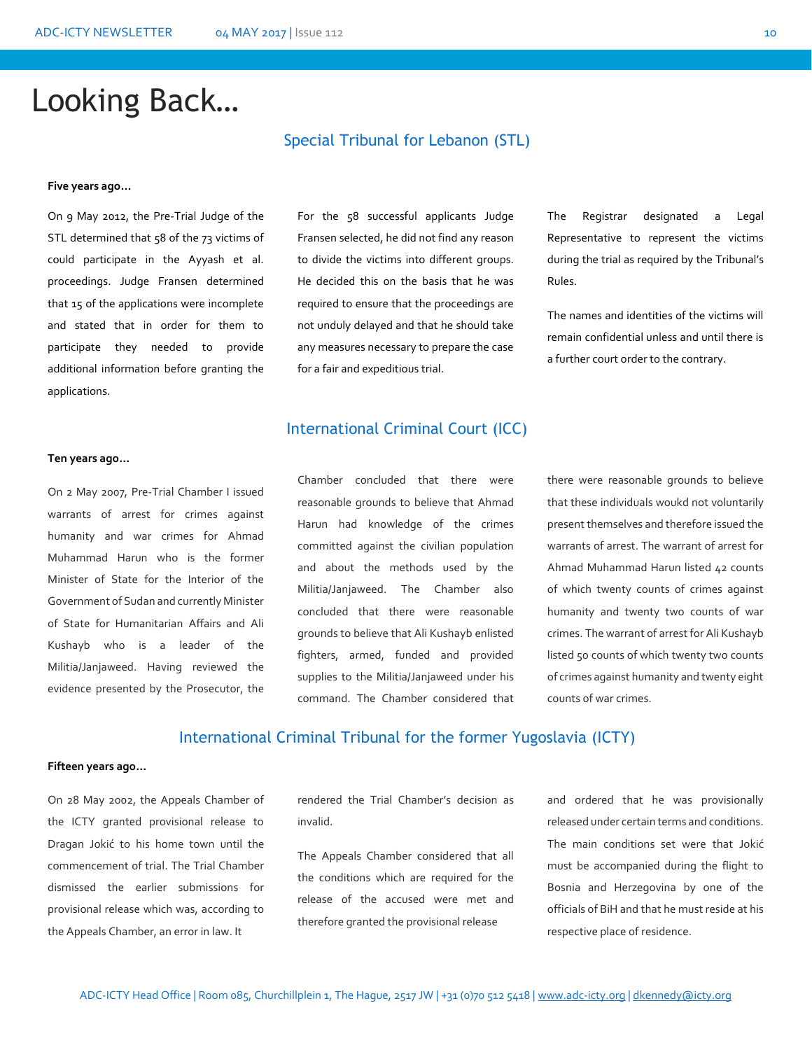# Looking Back…

### **Five years ago…**

On 9 May 2012, the Pre-Trial Judge of the STL determined that 58 of the 73 victims of could participate in the Ayyash et al. proceedings. Judge Fransen determined that 15 of the applications were incomplete and stated that in order for them to participate they needed to provide additional information before granting the applications.

### Special Tribunal for Lebanon (STL)

For the 58 successful applicants Judge Fransen selected, he did not find any reason to divide the victims into different groups. He decided this on the basis that he was required to ensure that the proceedings are not unduly delayed and that he should take any measures necessary to prepare the case for a fair and expeditious trial.

International Criminal Court (ICC)

#### **Ten years ago…**

On 2 May 2007, Pre-Trial Chamber I issued warrants of arrest for crimes against humanity and war crimes for Ahmad Muhammad Harun who is the former Minister of State for the Interior of the Government of Sudan and currently Minister of State for Humanitarian Affairs and Ali Kushayb who is a leader of the Militia/Janjaweed. Having reviewed the evidence presented by the Prosecutor, the

Chamber concluded that there were reasonable grounds to believe that Ahmad Harun had knowledge of the crimes committed against the civilian population and about the methods used by the Militia/Janjaweed. The Chamber also concluded that there were reasonable grounds to believe that Ali Kushayb enlisted fighters, armed, funded and provided supplies to the Militia/Janjaweed under his command. The Chamber considered that there were reasonable grounds to believe that these individuals woukd not voluntarily present themselves and therefore issued the warrants of arrest. The warrant of arrest for Ahmad Muhammad Harun listed 42 counts of which twenty counts of crimes against humanity and twenty two counts of war crimes. The warrant of arrest for Ali Kushayb listed 50 counts of which twenty two counts of crimes against humanity and twenty eight counts of war crimes.

The Registrar designated a Legal Representative to represent the victims during the trial as required by the Tribunal's

The names and identities of the victims will remain confidential unless and until there is

a further court order to the contrary.

Rules.

### International Criminal Tribunal for the former Yugoslavia (ICTY)

### **Fifteen years ago…**

On 28 May 2002, the Appeals Chamber of the ICTY granted provisional release to Dragan Jokić to his home town until the commencement of trial. The Trial Chamber dismissed the earlier submissions for provisional release which was, according to the Appeals Chamber, an error in law. It

rendered the Trial Chamber's decision as invalid.

The Appeals Chamber considered that all the conditions which are required for the release of the accused were met and therefore granted the provisional release

and ordered that he was provisionally released under certain terms and conditions. The main conditions set were that Jokić must be accompanied during the flight to Bosnia and Herzegovina by one of the officials of BiH and that he must reside at his respective place of residence.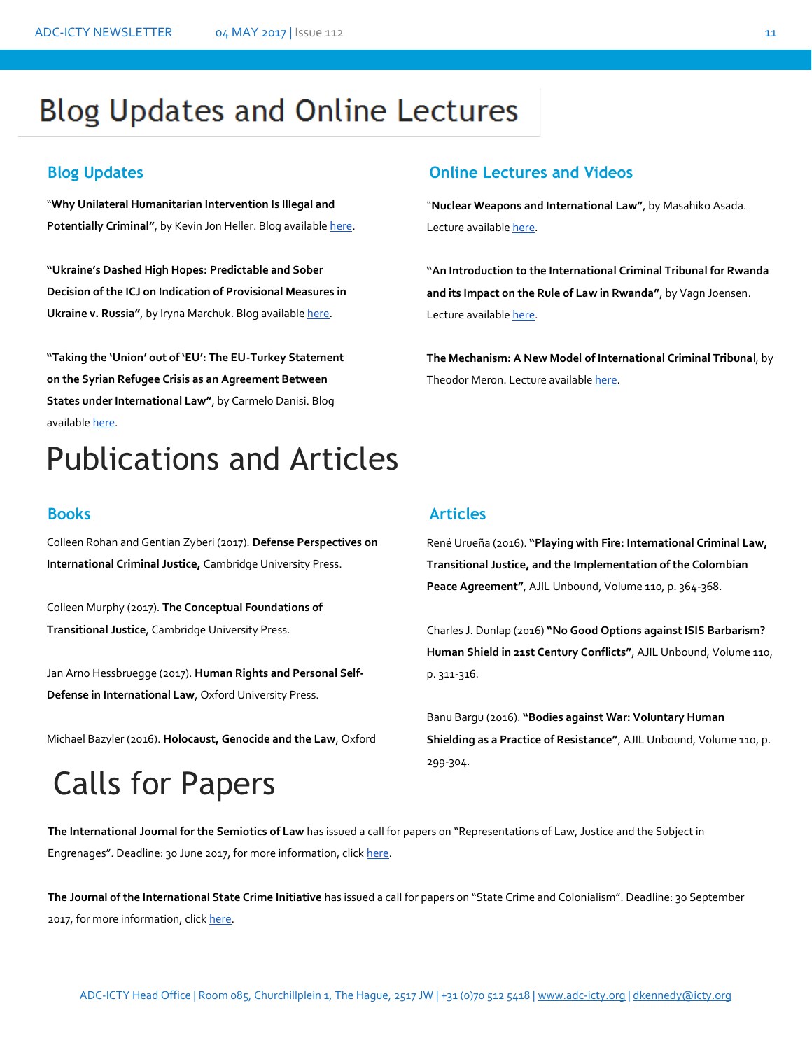# **Blog Updates and Online Lectures**

"**Why Unilateral Humanitarian Intervention Is Illegal and**  Potentially Criminal", by Kevin Jon Heller. Blog availabl[e here.](http://opiniojuris.org/2017/04/20/against-unilateral-humanitarian-intervention-and-why-it-can-be-criminal/)

**"Ukraine's Dashed High Hopes: Predictable and Sober Decision of the ICJ on Indication of Provisional Measures in Ukraine v. Russia", by Iryna Marchuk. Blog available here.** 

**"Taking the 'Union' out of 'EU': The EU-Turkey Statement on the Syrian Refugee Crisis as an Agreement Between States under International Law"**, by Carmelo Danisi. Blog availabl[e here.](https://www.ejiltalk.org/taking-the-union-out-of-eu-the-eu-turkey-statement-on-the-syrian-refugee-crisis-as-an-agreement-between-states-under-international-law/)

# Publications and Articles

Colleen Rohan and Gentian Zyberi (2017). **Defense Perspectives on International Criminal Justice,** Cambridge University Press.

Colleen Murphy (2017). **The Conceptual Foundations of Transitional Justice**, Cambridge University Press.

Jan Arno Hessbruegge (2017). **Human Rights and Personal Self-Defense in International Law**, Oxford University Press.

Michael Bazyler (2016). **Holocaust, Genocide and the Law**, Oxford

# Calls for Papers

### **Blog Updates Online Lectures and Videos**

"**Nuclear Weapons and International Law"**, by Masahiko Asada. Lecture available here.

**"An Introduction to the International Criminal Tribunal for Rwanda and its Impact on the Rule of Law in Rwanda"**, by Vagn Joensen. Lecture available here.

**The Mechanism: A New Model of International Criminal Tribuna**l, by Theodor Meron. Lecture availabl[e here.](http://legal.un.org/avl/ls/Meron_CLP.html)

## **Books Articles**

René Urueña (2016). **"Playing with Fire: International Criminal Law, Transitional Justice, and the Implementation of the Colombian**  Peace Agreement", AJIL Unbound, Volume 110, p. 364-368.

Charles J. Dunlap (2016) **"No Good Options against ISIS Barbarism? Human Shield in 21st Century Conflicts"**, AJIL Unbound, Volume 110, p. 311-316.

Banu Bargu (2016). **"Bodies against War: Voluntary Human Shielding as a Practice of Resistance"**, AJIL Unbound, Volume 110, p. 299-304.

**The International Journal for the Semiotics of Law** has issued a call for papers on "Representations of Law, Justice and the Subject in<br>-Engrenages". Deadline: 30 June 2017, for more information, click here.

**The Journal of the International State Crime Initiative** has issued a call for papers on "State Crime and Colonialism". Deadline: 30 September 2017, for more information, click [here.](http://www.legalscholarshipblog.com/2017/04/19/cfp-state-crime-colonialism/)